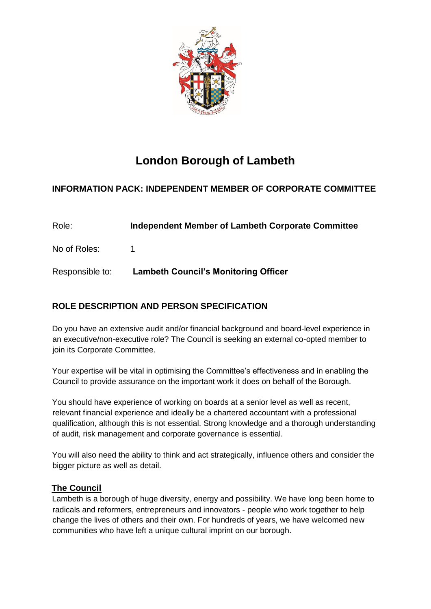

# **London Borough of Lambeth**

## **INFORMATION PACK: INDEPENDENT MEMBER OF CORPORATE COMMITTEE**

| Role:           | Independent Member of Lambeth Corporate Committee |
|-----------------|---------------------------------------------------|
| No of Roles:    |                                                   |
| Responsible to: | <b>Lambeth Council's Monitoring Officer</b>       |

# **ROLE DESCRIPTION AND PERSON SPECIFICATION**

Do you have an extensive audit and/or financial background and board-level experience in an executive/non-executive role? The Council is seeking an external co-opted member to join its Corporate Committee.

Your expertise will be vital in optimising the Committee's effectiveness and in enabling the Council to provide assurance on the important work it does on behalf of the Borough.

You should have experience of working on boards at a senior level as well as recent, relevant financial experience and ideally be a chartered accountant with a professional qualification, although this is not essential. Strong knowledge and a thorough understanding of audit, risk management and corporate governance is essential.

You will also need the ability to think and act strategically, influence others and consider the bigger picture as well as detail.

### **The Council**

Lambeth is a borough of huge diversity, energy and possibility. We have long been home to radicals and reformers, entrepreneurs and innovators - people who work together to help change the lives of others and their own. For hundreds of years, we have welcomed new communities who have left a unique cultural imprint on our borough.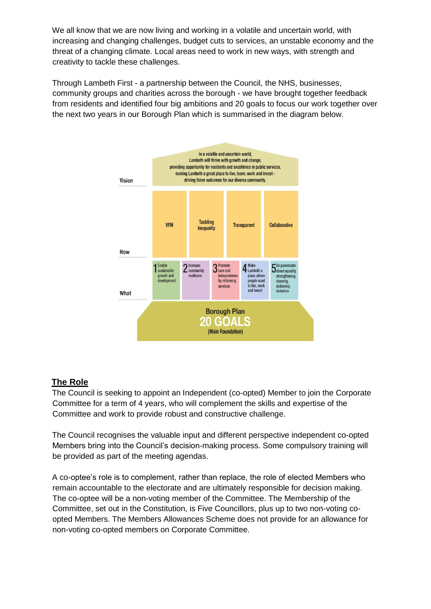We all know that we are now living and working in a volatile and uncertain world, with increasing and changing challenges, budget cuts to services, an unstable economy and the threat of a changing climate. Local areas need to work in new ways, with strength and creativity to tackle these challenges.

Through Lambeth First - a partnership between the Council, the NHS, businesses, community groups and charities across the borough - we have brought together feedback from residents and identified four big ambitions and 20 goals to focus our work together over the next two years in our Borough Plan which is summarised in the diagram below.



### **The Role**

The Council is seeking to appoint an Independent (co-opted) Member to join the Corporate Committee for a term of 4 years, who will complement the skills and expertise of the Committee and work to provide robust and constructive challenge.

The Council recognises the valuable input and different perspective independent co-opted Members bring into the Council's decision-making process. Some compulsory training will be provided as part of the meeting agendas.

A co-optee's role is to complement, rather than replace, the role of elected Members who remain accountable to the electorate and are ultimately responsible for decision making. The co-optee will be a non-voting member of the Committee. The Membership of the Committee, set out in the Constitution, is Five Councillors, plus up to two non-voting coopted Members. The Members Allowances Scheme does not provide for an allowance for non-voting co-opted members on Corporate Committee.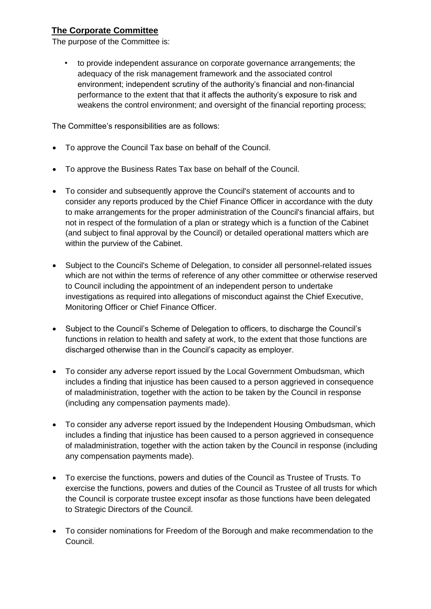## **The Corporate Committee**

The purpose of the Committee is:

• to provide independent assurance on corporate governance arrangements; the adequacy of the risk management framework and the associated control environment; independent scrutiny of the authority's financial and non-financial performance to the extent that that it affects the authority's exposure to risk and weakens the control environment; and oversight of the financial reporting process;

The Committee's responsibilities are as follows:

- To approve the Council Tax base on behalf of the Council.
- To approve the Business Rates Tax base on behalf of the Council.
- To consider and subsequently approve the Council's statement of accounts and to consider any reports produced by the Chief Finance Officer in accordance with the duty to make arrangements for the proper administration of the Council's financial affairs, but not in respect of the formulation of a plan or strategy which is a function of the Cabinet (and subject to final approval by the Council) or detailed operational matters which are within the purview of the Cabinet.
- Subject to the Council's Scheme of Delegation, to consider all personnel-related issues which are not within the terms of reference of any other committee or otherwise reserved to Council including the appointment of an independent person to undertake investigations as required into allegations of misconduct against the Chief Executive, Monitoring Officer or Chief Finance Officer.
- Subject to the Council's Scheme of Delegation to officers, to discharge the Council's functions in relation to health and safety at work, to the extent that those functions are discharged otherwise than in the Council's capacity as employer.
- To consider any adverse report issued by the Local Government Ombudsman, which includes a finding that injustice has been caused to a person aggrieved in consequence of maladministration, together with the action to be taken by the Council in response (including any compensation payments made).
- To consider any adverse report issued by the Independent Housing Ombudsman, which includes a finding that injustice has been caused to a person aggrieved in consequence of maladministration, together with the action taken by the Council in response (including any compensation payments made).
- To exercise the functions, powers and duties of the Council as Trustee of Trusts. To exercise the functions, powers and duties of the Council as Trustee of all trusts for which the Council is corporate trustee except insofar as those functions have been delegated to Strategic Directors of the Council.
- To consider nominations for Freedom of the Borough and make recommendation to the Council.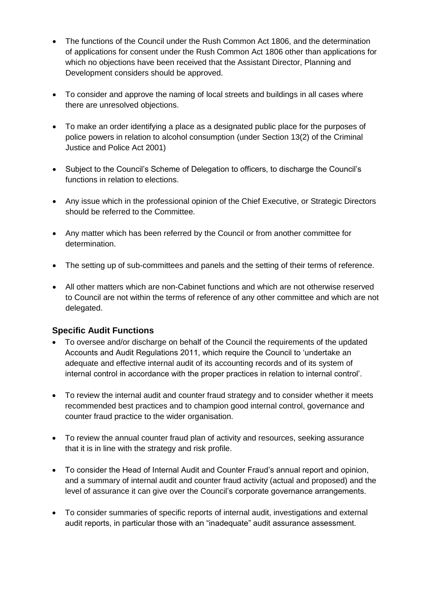- The functions of the Council under the Rush Common Act 1806, and the determination of applications for consent under the Rush Common Act 1806 other than applications for which no objections have been received that the Assistant Director, Planning and Development considers should be approved.
- To consider and approve the naming of local streets and buildings in all cases where there are unresolved objections.
- To make an order identifying a place as a designated public place for the purposes of police powers in relation to alcohol consumption (under Section 13(2) of the Criminal Justice and Police Act 2001)
- Subject to the Council's Scheme of Delegation to officers, to discharge the Council's functions in relation to elections.
- Any issue which in the professional opinion of the Chief Executive, or Strategic Directors should be referred to the Committee.
- Any matter which has been referred by the Council or from another committee for determination.
- The setting up of sub-committees and panels and the setting of their terms of reference.
- All other matters which are non-Cabinet functions and which are not otherwise reserved to Council are not within the terms of reference of any other committee and which are not delegated.

#### **Specific Audit Functions**

- To oversee and/or discharge on behalf of the Council the requirements of the updated Accounts and Audit Regulations 2011, which require the Council to 'undertake an adequate and effective internal audit of its accounting records and of its system of internal control in accordance with the proper practices in relation to internal control'.
- To review the internal audit and counter fraud strategy and to consider whether it meets recommended best practices and to champion good internal control, governance and counter fraud practice to the wider organisation.
- To review the annual counter fraud plan of activity and resources, seeking assurance that it is in line with the strategy and risk profile.
- To consider the Head of Internal Audit and Counter Fraud's annual report and opinion, and a summary of internal audit and counter fraud activity (actual and proposed) and the level of assurance it can give over the Council's corporate governance arrangements.
- To consider summaries of specific reports of internal audit, investigations and external audit reports, in particular those with an "inadequate" audit assurance assessment.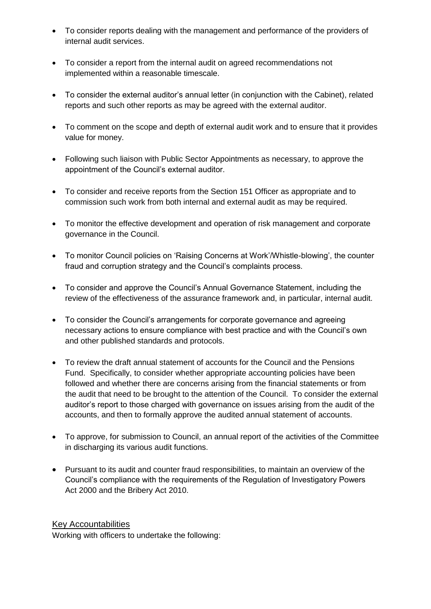- To consider reports dealing with the management and performance of the providers of internal audit services.
- To consider a report from the internal audit on agreed recommendations not implemented within a reasonable timescale.
- To consider the external auditor's annual letter (in conjunction with the Cabinet), related reports and such other reports as may be agreed with the external auditor.
- To comment on the scope and depth of external audit work and to ensure that it provides value for money.
- Following such liaison with Public Sector Appointments as necessary, to approve the appointment of the Council's external auditor.
- To consider and receive reports from the Section 151 Officer as appropriate and to commission such work from both internal and external audit as may be required.
- To monitor the effective development and operation of risk management and corporate governance in the Council.
- To monitor Council policies on 'Raising Concerns at Work'/Whistle-blowing', the counter fraud and corruption strategy and the Council's complaints process.
- To consider and approve the Council's Annual Governance Statement, including the review of the effectiveness of the assurance framework and, in particular, internal audit.
- To consider the Council's arrangements for corporate governance and agreeing necessary actions to ensure compliance with best practice and with the Council's own and other published standards and protocols.
- To review the draft annual statement of accounts for the Council and the Pensions Fund. Specifically, to consider whether appropriate accounting policies have been followed and whether there are concerns arising from the financial statements or from the audit that need to be brought to the attention of the Council. To consider the external auditor's report to those charged with governance on issues arising from the audit of the accounts, and then to formally approve the audited annual statement of accounts.
- To approve, for submission to Council, an annual report of the activities of the Committee in discharging its various audit functions.
- Pursuant to its audit and counter fraud responsibilities, to maintain an overview of the Council's compliance with the requirements of the Regulation of Investigatory Powers Act 2000 and the Bribery Act 2010.

#### Key Accountabilities

Working with officers to undertake the following: